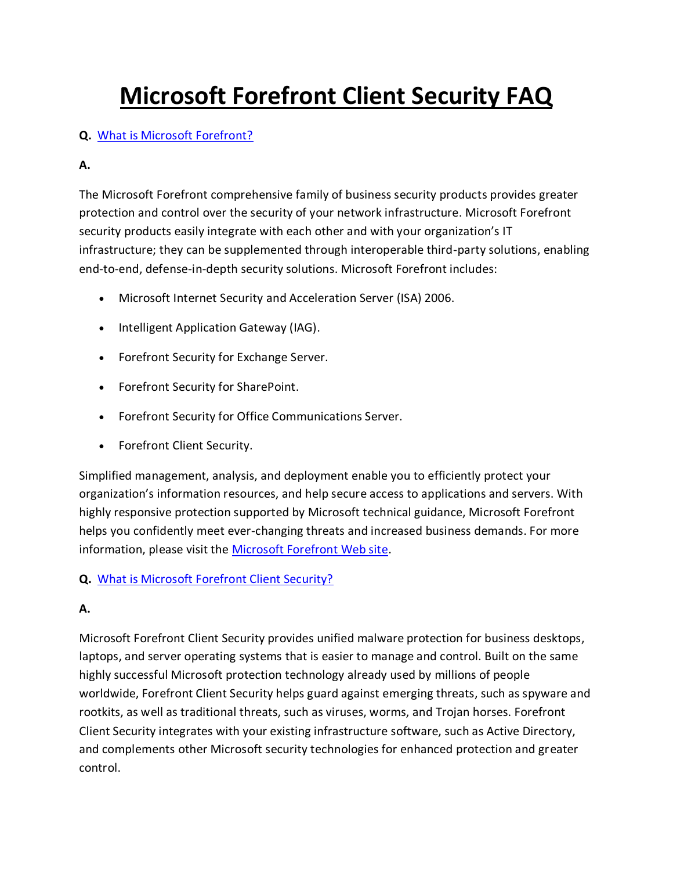# **Microsoft Forefront Client Security FAQ**

## **Q.** [What is Microsoft Forefront?](http://www.microsoft.com/forefront/clientsecurity/en/us/faq.aspx)

## **A.**

The Microsoft Forefront comprehensive family of business security products provides greater protection and control over the security of your network infrastructure. Microsoft Forefront security products easily integrate with each other and with your organization's IT infrastructure; they can be supplemented through interoperable third-party solutions, enabling end-to-end, defense-in-depth security solutions. Microsoft Forefront includes:

- Microsoft Internet Security and Acceleration Server (ISA) 2006.
- Intelligent Application Gateway (IAG).
- Forefront Security for Exchange Server.
- Forefront Security for SharePoint.
- Forefront Security for Office Communications Server.
- Forefront Client Security.

Simplified management, analysis, and deployment enable you to efficiently protect your organization's information resources, and help secure access to applications and servers. With highly responsive protection supported by Microsoft technical guidance, Microsoft Forefront helps you confidently meet ever-changing threats and increased business demands. For more information, please visit the [Microsoft Forefront Web site.](http://www.microsoft.com/forefront/)

### **Q.** [What is Microsoft Forefront Client Security?](http://www.microsoft.com/forefront/clientsecurity/en/us/faq.aspx)

# **A.**

Microsoft Forefront Client Security provides unified malware protection for business desktops, laptops, and server operating systems that is easier to manage and control. Built on the same highly successful Microsoft protection technology already used by millions of people worldwide, Forefront Client Security helps guard against emerging threats, such as spyware and rootkits, as well as traditional threats, such as viruses, worms, and Trojan horses. Forefront Client Security integrates with your existing infrastructure software, such as Active Directory, and complements other Microsoft security technologies for enhanced protection and greater control.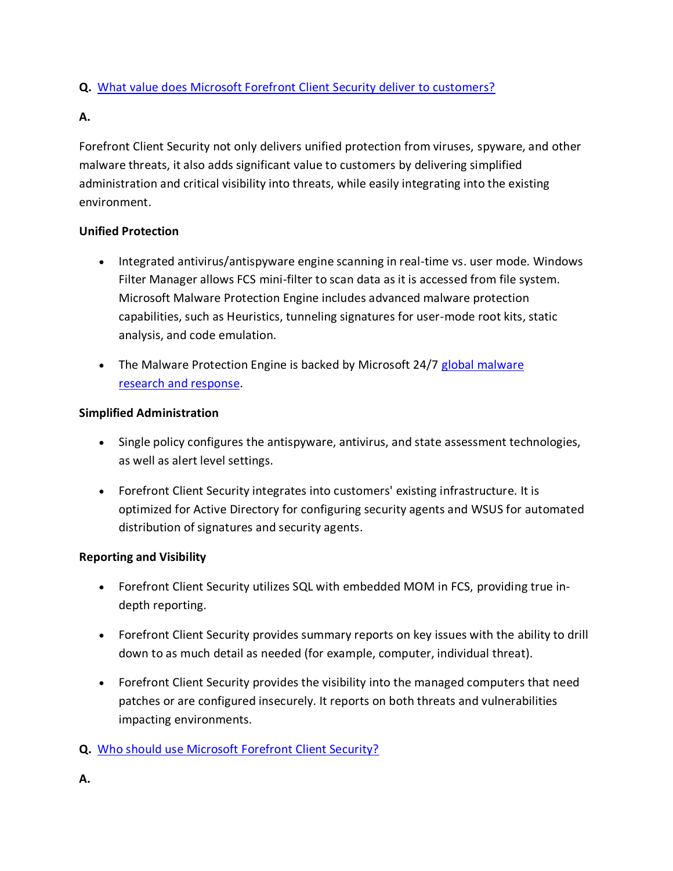## **Q.** [What value does Microsoft Forefront Client Security deliver to customers?](http://www.microsoft.com/forefront/clientsecurity/en/us/faq.aspx)

#### **A.**

Forefront Client Security not only delivers unified protection from viruses, spyware, and other malware threats, it also adds significant value to customers by delivering simplified administration and critical visibility into threats, while easily integrating into the existing environment.

#### **Unified Protection**

- Integrated antivirus/antispyware engine scanning in real-time vs. user mode. Windows Filter Manager allows FCS mini-filter to scan data as it is accessed from file system. Microsoft Malware Protection Engine includes advanced malware protection capabilities, such as Heuristics, tunneling signatures for user-mode root kits, static analysis, and code emulation.
- The Malware Protection Engine is backed by Microsoft 24/7 global malware research [and response.](http://microsoft.com/security/portal)

#### **Simplified Administration**

- Single policy configures the antispyware, antivirus, and state assessment technologies, as well as alert level settings.
- Forefront Client Security integrates into customers' existing infrastructure. It is optimized for Active Directory for configuring security agents and WSUS for automated distribution of signatures and security agents.

### **Reporting and Visibility**

- Forefront Client Security utilizes SQL with embedded MOM in FCS, providing true indepth reporting.
- Forefront Client Security provides summary reports on key issues with the ability to drill down to as much detail as needed (for example, computer, individual threat).
- Forefront Client Security provides the visibility into the managed computers that need patches or are configured insecurely. It reports on both threats and vulnerabilities impacting environments.

### **Q.** [Who should use Microsoft Forefront Client Security?](http://www.microsoft.com/forefront/clientsecurity/en/us/faq.aspx)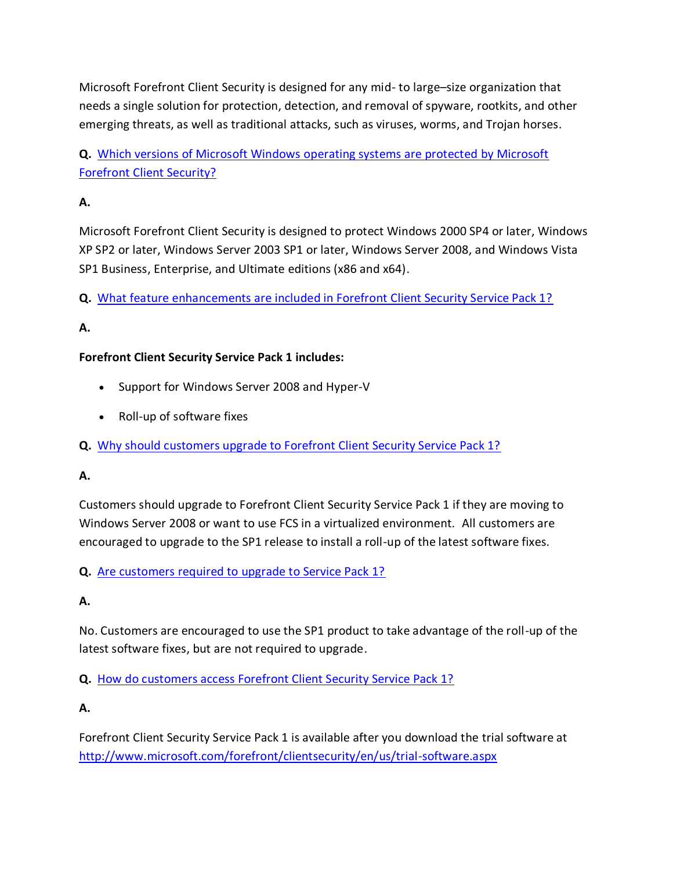Microsoft Forefront Client Security is designed for any mid- to large–size organization that needs a single solution for protection, detection, and removal of spyware, rootkits, and other emerging threats, as well as traditional attacks, such as viruses, worms, and Trojan horses.

**Q.** [Which versions of Microsoft Windows operating systems are protected by Microsoft](http://www.microsoft.com/forefront/clientsecurity/en/us/faq.aspx)  [Forefront Client Security?](http://www.microsoft.com/forefront/clientsecurity/en/us/faq.aspx)

# **A.**

Microsoft Forefront Client Security is designed to protect Windows 2000 SP4 or later, Windows XP SP2 or later, Windows Server 2003 SP1 or later, Windows Server 2008, and Windows Vista SP1 Business, Enterprise, and Ultimate editions (x86 and x64).

**Q.** [What feature enhancements are included in Forefront Client Security Service Pack 1?](http://www.microsoft.com/forefront/clientsecurity/en/us/faq.aspx)

# **A.**

### **Forefront Client Security Service Pack 1 includes:**

- Support for Windows Server 2008 and Hyper-V
- Roll-up of software fixes
- **Q.** [Why should customers upgrade to Forefront Client Security Service Pack 1?](http://www.microsoft.com/forefront/clientsecurity/en/us/faq.aspx)

### **A.**

Customers should upgrade to Forefront Client Security Service Pack 1 if they are moving to Windows Server 2008 or want to use FCS in a virtualized environment. All customers are encouraged to upgrade to the SP1 release to install a roll-up of the latest software fixes.

**Q.** [Are customers required to upgrade to Service Pack 1?](http://www.microsoft.com/forefront/clientsecurity/en/us/faq.aspx)

### **A.**

No. Customers are encouraged to use the SP1 product to take advantage of the roll-up of the latest software fixes, but are not required to upgrade.

**Q.** [How do customers access Forefront Client Security Service Pack 1?](http://www.microsoft.com/forefront/clientsecurity/en/us/faq.aspx)

**A.**

Forefront Client Security Service Pack 1 is available after you download the trial software at <http://www.microsoft.com/forefront/clientsecurity/en/us/trial-software.aspx>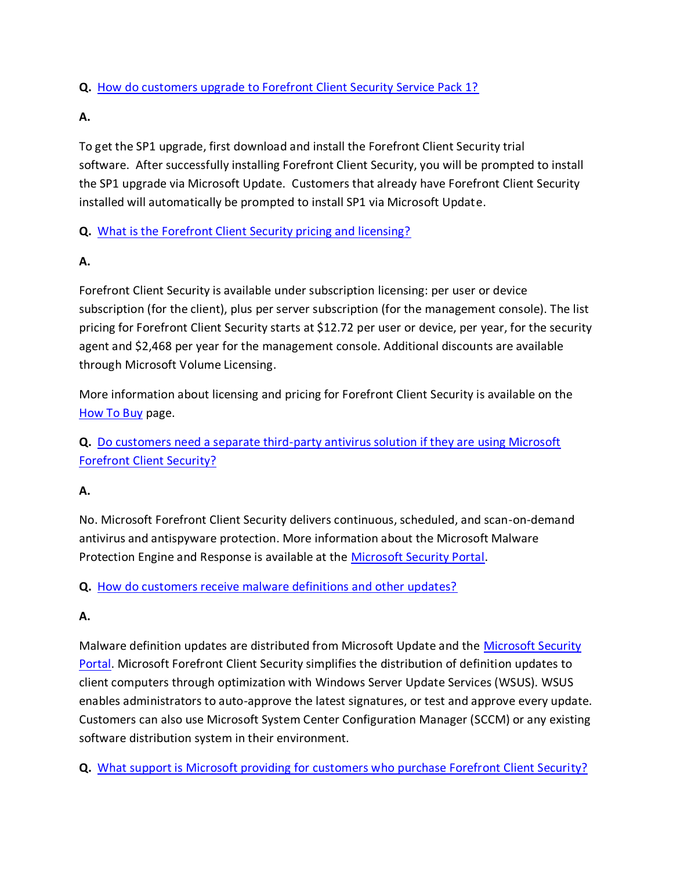## **Q.** [How do customers upgrade to Forefront Client Security Service Pack 1?](http://www.microsoft.com/forefront/clientsecurity/en/us/faq.aspx)

#### **A.**

To get the SP1 upgrade, first download and install the Forefront Client Security trial software. After successfully installing Forefront Client Security, you will be prompted to install the SP1 upgrade via Microsoft Update. Customers that already have Forefront Client Security installed will automatically be prompted to install SP1 via Microsoft Update.

### **Q.** [What is the Forefront Client Security pricing and licensing?](http://www.microsoft.com/forefront/clientsecurity/en/us/faq.aspx)

## **A.**

Forefront Client Security is available under subscription licensing: per user or device subscription (for the client), plus per server subscription (for the management console). The list pricing for Forefront Client Security starts at \$12.72 per user or device, per year, for the security agent and \$2,468 per year for the management console. Additional discounts are available through Microsoft Volume Licensing.

More information about licensing and pricing for Forefront Client Security is available on the [How To Buy](http://www.microsoft.com/forefront/clientsecurity/en/us/how-to-buy.aspx) page.

**Q.** [Do customers need a separate third-party antivirus solution if they are using Microsoft](http://www.microsoft.com/forefront/clientsecurity/en/us/faq.aspx)  [Forefront Client Security?](http://www.microsoft.com/forefront/clientsecurity/en/us/faq.aspx)

# **A.**

No. Microsoft Forefront Client Security delivers continuous, scheduled, and scan-on-demand antivirus and antispyware protection. More information about the Microsoft Malware Protection Engine and Response is available at the [Microsoft Security Portal.](http://www.microsoft.com/security/portal)

**Q.** [How do customers receive malware definitions and other updates?](http://www.microsoft.com/forefront/clientsecurity/en/us/faq.aspx)

# **A.**

Malware definition updates are distributed from Microsoft Update and the [Microsoft Security](http://www.microsoft.com/security/portal)  [Portal.](http://www.microsoft.com/security/portal) Microsoft Forefront Client Security simplifies the distribution of definition updates to client computers through optimization with Windows Server Update Services (WSUS). WSUS enables administrators to auto-approve the latest signatures, or test and approve every update. Customers can also use Microsoft System Center Configuration Manager (SCCM) or any existing software distribution system in their environment.

**Q.** [What support is Microsoft providing for customers who purchase Forefront Client Security?](http://www.microsoft.com/forefront/clientsecurity/en/us/faq.aspx)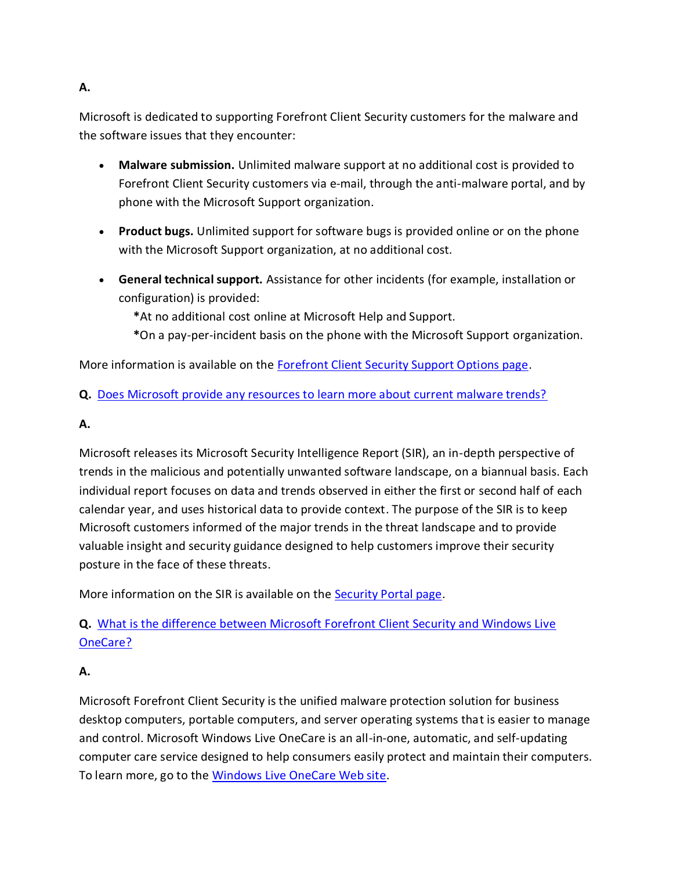## **A.**

Microsoft is dedicated to supporting Forefront Client Security customers for the malware and the software issues that they encounter:

- **Malware submission.** Unlimited malware support at no additional cost is provided to Forefront Client Security customers via e-mail, through the anti-malware portal, and by phone with the Microsoft Support organization.
- **Product bugs.** Unlimited support for software bugs is provided online or on the phone with the Microsoft Support organization, at no additional cost.
- **General technical support.** Assistance for other incidents (for example, installation or configuration) is provided:
	- **\***At no additional cost online at Microsoft Help and Support.
	- **\***On a pay-per-incident basis on the phone with the Microsoft Support organization.

More information is available on the [Forefront Client Security Support Options page.](http://www.microsoft.com/forefront/clientsecurity/en/us/support-options.aspx)

**Q.** [Does Microsoft provide any resources to learn more about current malware trends?](http://www.microsoft.com/forefront/clientsecurity/en/us/faq.aspx)

## **A.**

Microsoft releases its Microsoft Security Intelligence Report (SIR), an in-depth perspective of trends in the malicious and potentially unwanted software landscape, on a biannual basis. Each individual report focuses on data and trends observed in either the first or second half of each calendar year, and uses historical data to provide context. The purpose of the SIR is to keep Microsoft customers informed of the major trends in the threat landscape and to provide valuable insight and security guidance designed to help customers improve their security posture in the face of these threats.

More information on the SIR is available on the [Security Portal page.](http://www.microsoft.com/security/portal/resources.aspx)

**Q.** [What is the difference between Microsoft Forefront Client Security and Windows Live](http://www.microsoft.com/forefront/clientsecurity/en/us/faq.aspx)  [OneCare?](http://www.microsoft.com/forefront/clientsecurity/en/us/faq.aspx)

### **A.**

Microsoft Forefront Client Security is the unified malware protection solution for business desktop computers, portable computers, and server operating systems that is easier to manage and control. Microsoft Windows Live OneCare is an all-in-one, automatic, and self-updating computer care service designed to help consumers easily protect and maintain their computers. To learn more, go to the [Windows Live OneCare Web site.](http://www.windowsonecare.com/default.aspx?sc_cid=ms_forefront)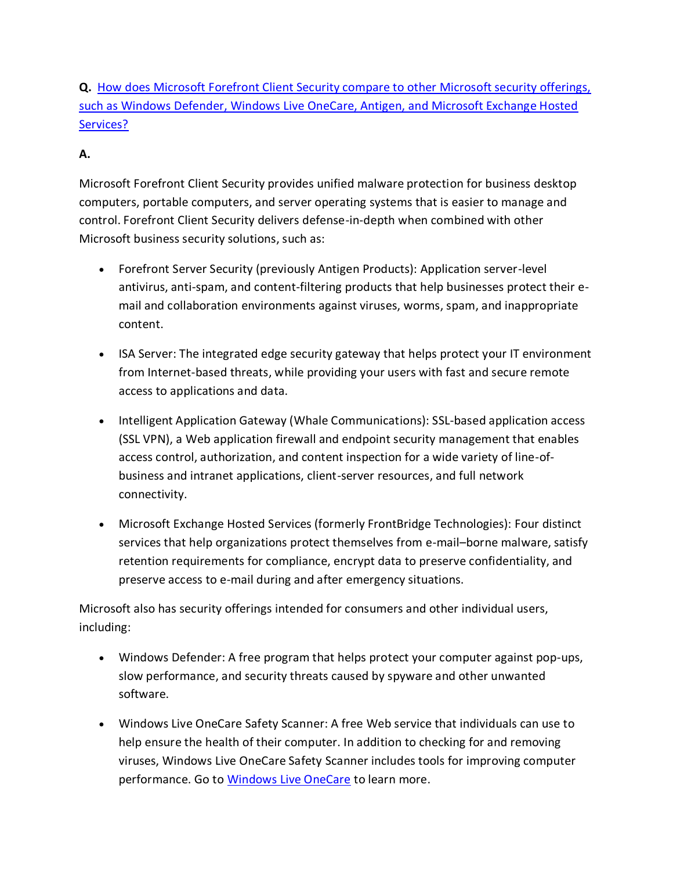**Q.** [How does Microsoft Forefront Client Security compare to other Microsoft security offerings,](http://www.microsoft.com/forefront/clientsecurity/en/us/faq.aspx)  [such as Windows Defender, Windows Live OneCare, Antigen, and Microsoft Exchange Hosted](http://www.microsoft.com/forefront/clientsecurity/en/us/faq.aspx)  [Services?](http://www.microsoft.com/forefront/clientsecurity/en/us/faq.aspx) 

## **A.**

Microsoft Forefront Client Security provides unified malware protection for business desktop computers, portable computers, and server operating systems that is easier to manage and control. Forefront Client Security delivers defense-in-depth when combined with other Microsoft business security solutions, such as:

- Forefront Server Security (previously Antigen Products): Application server-level antivirus, anti-spam, and content-filtering products that help businesses protect their email and collaboration environments against viruses, worms, spam, and inappropriate content.
- ISA Server: The integrated edge security gateway that helps protect your IT environment from Internet-based threats, while providing your users with fast and secure remote access to applications and data.
- Intelligent Application Gateway (Whale Communications): SSL-based application access (SSL VPN), a Web application firewall and endpoint security management that enables access control, authorization, and content inspection for a wide variety of line-ofbusiness and intranet applications, client-server resources, and full network connectivity.
- Microsoft Exchange Hosted Services (formerly FrontBridge Technologies): Four distinct services that help organizations protect themselves from e-mail–borne malware, satisfy retention requirements for compliance, encrypt data to preserve confidentiality, and preserve access to e-mail during and after emergency situations.

Microsoft also has security offerings intended for consumers and other individual users, including:

- Windows Defender: A free program that helps protect your computer against pop-ups, slow performance, and security threats caused by spyware and other unwanted software.
- Windows Live OneCare Safety Scanner: A free Web service that individuals can use to help ensure the health of their computer. In addition to checking for and removing viruses, Windows Live OneCare Safety Scanner includes tools for improving computer performance. Go to [Windows Live OneCare](http://safety.live.com/?s_cid=ms_forefront) to learn more.